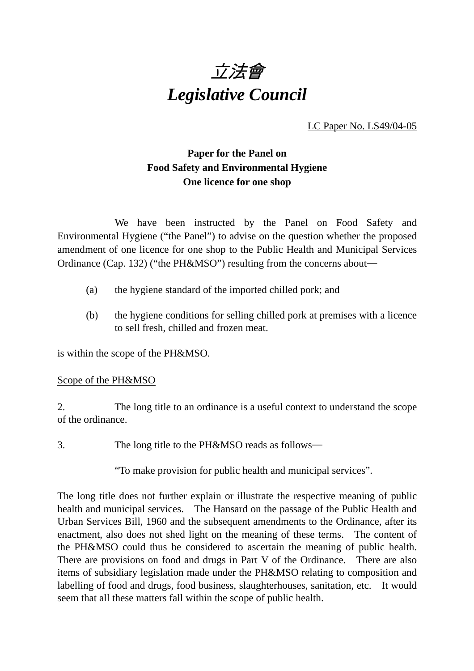

LC Paper No. LS49/04-05

## **Paper for the Panel on Food Safety and Environmental Hygiene One licence for one shop**

We have been instructed by the Panel on Food Safety and Environmental Hygiene ("the Panel") to advise on the question whether the proposed amendment of one licence for one shop to the Public Health and Municipal Services Ordinance (Cap. 132) ("the PH&MSO") resulting from the concerns about―

- (a) the hygiene standard of the imported chilled pork; and
- (b) the hygiene conditions for selling chilled pork at premises with a licence to sell fresh, chilled and frozen meat.

is within the scope of the PH&MSO.

## Scope of the PH&MSO

2. The long title to an ordinance is a useful context to understand the scope of the ordinance.

3. The long title to the PH&MSO reads as follows―

"To make provision for public health and municipal services".

The long title does not further explain or illustrate the respective meaning of public health and municipal services. The Hansard on the passage of the Public Health and Urban Services Bill, 1960 and the subsequent amendments to the Ordinance, after its enactment, also does not shed light on the meaning of these terms. The content of the PH&MSO could thus be considered to ascertain the meaning of public health. There are provisions on food and drugs in Part V of the Ordinance. There are also items of subsidiary legislation made under the PH&MSO relating to composition and labelling of food and drugs, food business, slaughterhouses, sanitation, etc. It would seem that all these matters fall within the scope of public health.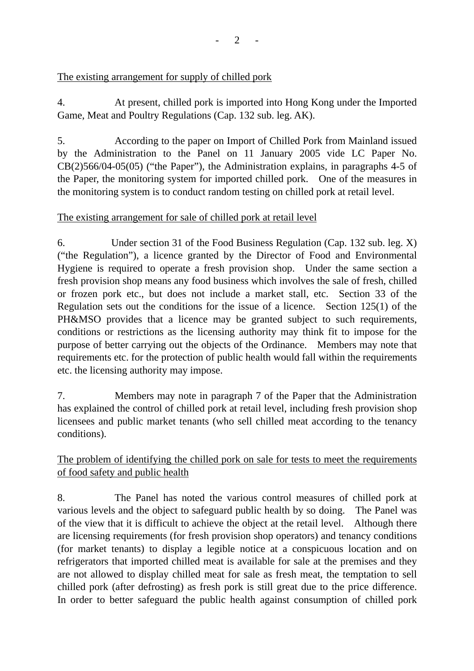The existing arrangement for supply of chilled pork

4. At present, chilled pork is imported into Hong Kong under the Imported Game, Meat and Poultry Regulations (Cap. 132 sub. leg. AK).

5. According to the paper on Import of Chilled Pork from Mainland issued by the Administration to the Panel on 11 January 2005 vide LC Paper No. CB(2)566/04-05(05) ("the Paper"), the Administration explains, in paragraphs 4-5 of the Paper, the monitoring system for imported chilled pork. One of the measures in the monitoring system is to conduct random testing on chilled pork at retail level.

## The existing arrangement for sale of chilled pork at retail level

6. Under section 31 of the Food Business Regulation (Cap. 132 sub. leg. X) ("the Regulation"), a licence granted by the Director of Food and Environmental Hygiene is required to operate a fresh provision shop. Under the same section a fresh provision shop means any food business which involves the sale of fresh, chilled or frozen pork etc., but does not include a market stall, etc. Section 33 of the Regulation sets out the conditions for the issue of a licence. Section 125(1) of the PH&MSO provides that a licence may be granted subject to such requirements, conditions or restrictions as the licensing authority may think fit to impose for the purpose of better carrying out the objects of the Ordinance. Members may note that requirements etc. for the protection of public health would fall within the requirements etc. the licensing authority may impose.

7. Members may note in paragraph 7 of the Paper that the Administration has explained the control of chilled pork at retail level, including fresh provision shop licensees and public market tenants (who sell chilled meat according to the tenancy conditions).

The problem of identifying the chilled pork on sale for tests to meet the requirements of food safety and public health

8. The Panel has noted the various control measures of chilled pork at various levels and the object to safeguard public health by so doing. The Panel was of the view that it is difficult to achieve the object at the retail level. Although there are licensing requirements (for fresh provision shop operators) and tenancy conditions (for market tenants) to display a legible notice at a conspicuous location and on refrigerators that imported chilled meat is available for sale at the premises and they are not allowed to display chilled meat for sale as fresh meat, the temptation to sell chilled pork (after defrosting) as fresh pork is still great due to the price difference. In order to better safeguard the public health against consumption of chilled pork